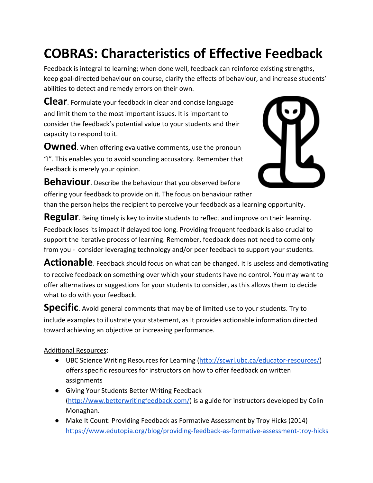# **COBRAS: Characteristics of Effective Feedback**

Feedback is integral to learning; when done well, feedback can reinforce existing strengths, keep goal-directed behaviour on course, clarify the effects of behaviour, and increase students' abilities to detect and remedy errors on their own.

**Clear**. Formulate your feedback in clear and concise language and limit them to the most important issues. It is important to consider the feedback's potential value to your students and their capacity to respond to it.

**Owned**. When offering evaluative comments, use the pronoun "I". This enables you to avoid sounding accusatory. Remember that feedback is merely your opinion.



**Behaviour**. Describe the behaviour that you observed before offering your feedback to provide on it. The focus on behaviour rather than the person helps the recipient to perceive your feedback as a learning opportunity.

**Regular**. Being timely is key to invite students to reflect and improve on their learning. Feedback loses its impact if delayed too long. Providing frequent feedback is also crucial to support the iterative process of learning. Remember, feedback does not need to come only from you - consider leveraging technology and/or peer feedback to support your students.

**Actionable**. Feedback should focus on what can be changed. It is useless and demotivating to receive feedback on something over which your students have no control. You may want to offer alternatives or suggestions for your students to consider, as this allows them to decide what to do with your feedback.

**Specific**. Avoid general comments that may be of limited use to your students. Try to include examples to illustrate your statement, as it provides actionable information directed toward achieving an objective or increasing performance.

## Additional Resources:

- UBC Science Writing Resources for Learning ([http://scwrl.ubc.ca/educator-resources/\)](http://scwrl.ubc.ca/educator-resources/) offers specific resources for instructors on how to offer feedback on written assignments
- Giving Your Students Better Writing Feedback (<http://www.betterwritingfeedback.com/>) is a guide for instructors developed by Colin Monaghan.
- Make It Count: Providing Feedback as Formative Assessment by Troy Hicks (2014) <https://www.edutopia.org/blog/providing-feedback-as-formative-assessment-troy-hicks>